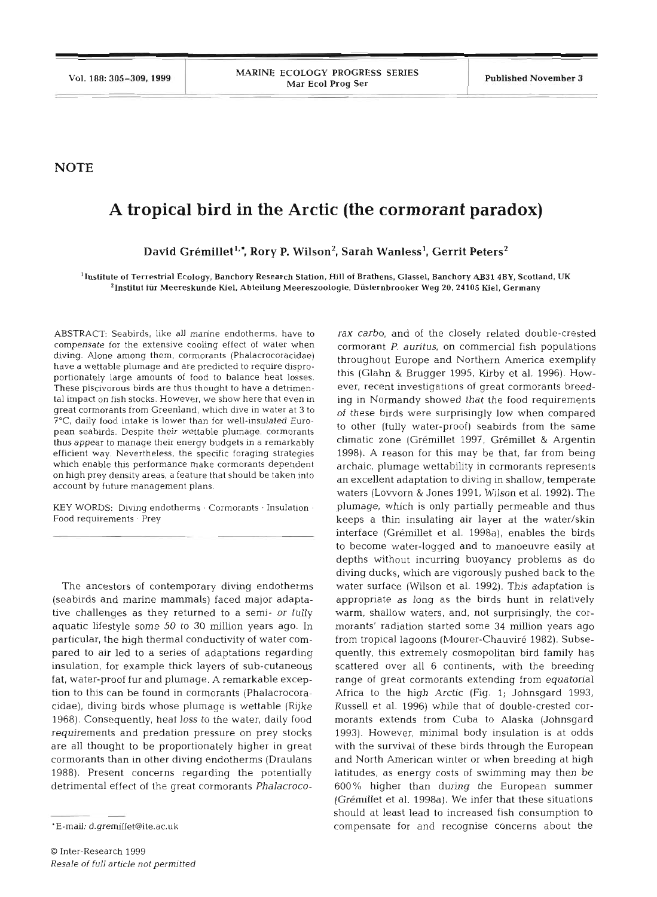**NOTE** 

## **A tropical bird in the Arctic (the cormorant paradox)**

David Grémillet<sup>1,\*</sup>, Rory P. Wilson<sup>2</sup>, Sarah Wanless<sup>1</sup>, Gerrit Peters<sup>2</sup>

<sup>1</sup> Institute of Terrestrial Ecology, Banchory Research Station, Hill of Brathens, Glassel, Banchory AB31 4BY, Scotland, UK 'Institut **fiir** Meereskunde Kiel, Abteilung Meereszoologie, Diisternbrooker Weg 20,24105 Kiel, Germany

ABSTRACT: Seabirds, like all marine endotherms, have to rax carbo, and of the closely related double-crested compensate for the extensive cooling effect of water when diving. Alone among them, cormorants (Phalacrocoracidae) have a wettable plumage and are predicted to require disproportionately large amounts of food to balance heat losses. These piscivorous birds are thus thought to have a detrimental impact on fish stocks. However, we show here that even in great cormorants from Greenland, which dive in water at 3 to ?"C, daily food intake is lower than for well-insulated European seabirds. Despite their wettable plumage, cormorants thus appear to manage their energy budgets in a remarkably efficient way. Nevertheless, the specific foraging strategies which enable this performance make cormorants dependent on high prey density areas, a feature that should be taken into account by future management plans.

KEY WORDS: Diving endotherms  $\cdot$  Cormorants  $\cdot$  Insulation  $\cdot$ Food requirements . Prey

The ancestors of contemporary diving endotherms (seabirds and marine mammals) faced major adaptative challenges as they returned to a semi- or fully aquatic lifestyle some 50 to 30 million years ago. In particular, the high thermal conductivity of water compared to air led to a series of adaptations regarding insulation, for example thick layers of sub-cutaneous fat, water-proof fur and plumage. **A** remarkable exception to this can be found in cormorants (Phalacrocoracidae), diving birds whose plumage is wettable (Rijke 1968). Consequently, heat loss to the water, daily food requirements and predation pressure on prey stocks are all thought to be proportionately higher in great cormorants than in other diving endotherms (Draulans 1988). Present concerns regarding the potentially detrimental effect of the great cormorants Phalacroco-

commorant *P. auritus,* on commercial fish populations<br>throughout Europe and Northern America exemplify<br>this (Glahn & Brugger 1995, Kirby et al. 1996). How-<br>ever, recent investigations of great cormorants breed-<br>ever, rece (Grémillet et al. 1998a). We infer that these situations should at least lead to increased fish consumption to compensate for and recognise concerns about the

<sup>&#</sup>x27;E-mail: d.gremillet@ite.ac.uk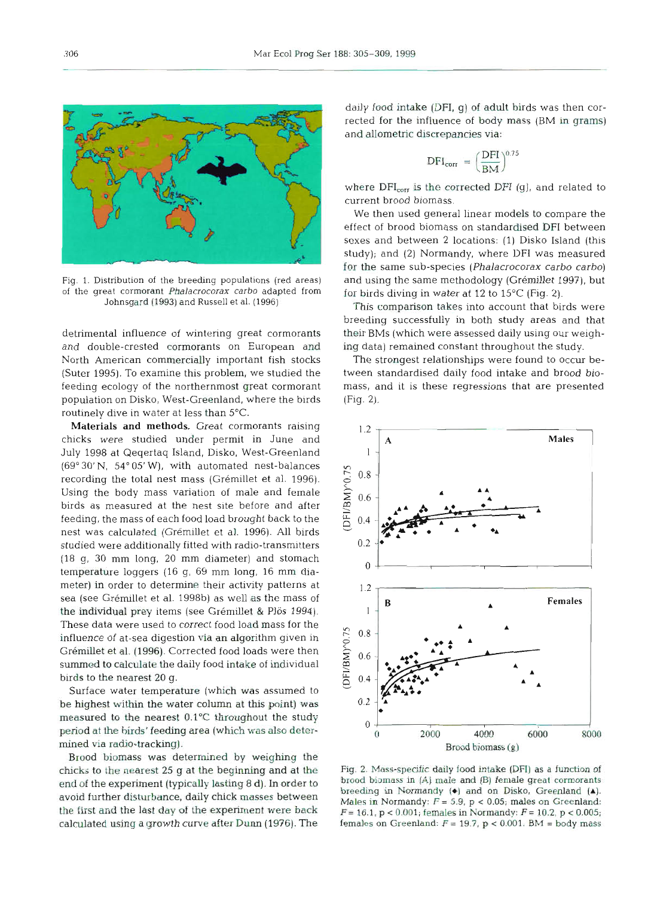

Fig. 1. Distribution of the breeding populations (red are *of the great cormorant Phalacrocorax carbo adapted fr* **Johnsgard (1993) and Russell et al. (1996)** 

detrimental influence of wintering great cormorants and double-crested cormorants on European and North American commercially important fish stocks (Suter 1995). To examine this problem, we studied the feeding ecology of the northernmost great cormorant population on Disko, West-Greenland, where the birds routinely dive in water at less than 5°C.

Materials and methods. Great cormorants raising chicks were studied under permit in June and July 1998 at Qeqertaq Island, Disko, West-Greenland (69" 30' N, 54" 05' W), with automated nest-balances recording the total nest mass (Grémillet et al. 1996). Using the body mass variation of male and female birds as measured at the nest site before and af feeding, the mass of each food load brought back to the nest was calculated (Grémillet et al. 1996). All birds studied were additionally fitted with radio-transmitters (18 g, 30 mm long, 20 mm diameter) and stomach temperature loggers (16 g, 69 mm long, 16 mm diameter) in order to determine their activity patterns at sea (see Gremillet et al. 1998b) as well as the mass of the individual prey items (see Grémillet & Plös 1994). These data were used to correct food load mass for the influence of at-sea digestion via an algorithm given in Grémillet et al. (1996). Corrected food loads were then summed to calculate the daily food intake of individual birds to the nearest 20 g.

Surface water temperature (which was assumed to be highest within the water column at this point) **was**  measured to the nearest O.l°C throughout **the** study period at **the birds'** feeding area **(which** was also determined via radio-tracking) .

Brood biomass was determined by weighing the chicks to the nearest 25 g **at the** beginning and at the end of the experiment (typically lasting 8 d). In order to avoid further disturbance, daily chick masses between the first and the last day of **the** experiment were back calculated using a growth curve after **Dunn** (1976). The

daily food intake **(DFI,** g) **of** adult birds was then corrected for the influence of body mass (BM in grams) and allometric discrepancies via:

$$
DFI_{corr} = \left(\frac{DFI}{BM}\right)^{0.75}
$$

where **DFI, is** the corrected DFI (g), and related to current brood bioma

We then used general linear models to compare the effect of brood biomass on standardised DFI betwe sexes and between **2** locations: (1) Disko Island (this study); and (2) Normandy, where DFI was measured for the same sub-species (Phalacrocorax carbo carbo) and using the same methodology (Grémillet 1997), but for birds diving in water at 12 to 15°C (Fig. 2).

This comparison takes into account that birds were breeding successfully in both study areas and that their BMs (which were assessed daily using our weighing data) remained constant throughout the study.

The strongest relationships were found to occur between standardised daily food intake and brood biomass, and it is these regressions that are presented (Fig. 2).



**Fig. 2. Mass-specific daily food inhke (DFI) as a function of brood biomass in (A) male and (B) femde great cormorants breeding in Normandy (\*l and on Disko, Greenland (A).**   $M$ ales in Normandy:  $F = 5.9$ ,  $p < 0.05$ ; males on Greenland:  $F = 16.1$ ,  $p < 0.001$ ; females in Normandy:  $F = 10.2$ ,  $p < 0.005$ ; females on Greenland:  $F = 19.7$ ,  $p < 0.001$ .  $BW = body$  mass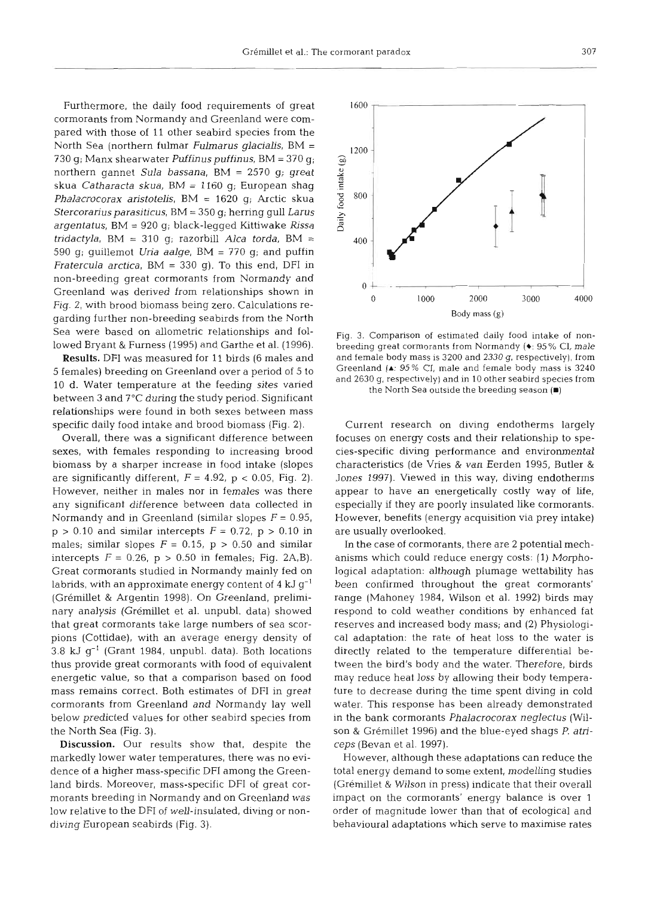Furthermore, the daily food requirements of great cormorants from Normandy and Greenland were compared with those of **11** other seabird species from the North Sea (northern fulmar *Fuimarus glacialis,* BM <sup>=</sup> 730 g; Manx shearwater *Puffinuspuffinus,* BM = 370 g; northern gannet *Sula bassana,* BM = 2570 g; great skua *Catharacta skua,* BM = 1160 g; European shag *Phalacrocorax aristotelis,* BM = 1620 g; Arctic skua Stercorariusparasiticus, BM = 350 g; herring gull *Larus argentatus, BM = 920 g; black-legged Kittiwake Rissa tridactyla,* BM = 310 g; razorbill *Alca torda,* BM <sup>=</sup> 590 g; guillemot *Uria aalge,* BM = 770 g; and puffin *Fratercula arctica,* BM = 330 g), To this end, DFI in non-breeding great cormorants from Normandy and Greenland was derived from relationships shown in Fig. 2, with brood biomass being zero. Calculations regarding further non-breeding seabirds from the North Sea were based on allometric relationships and followed Bryant & Furness (1995) and Garthe et al. (1996).

Results. DFI was measured for 11 birds (6 males and 5 females) breeding on Greenland over a period of 5 to 10 d. Water temperature at the feeding sites varied between **3** and 7°C during the study period. Significant relationships were found in both sexes between mass specific daily food intake and brood biomass (Fig. 2).

Overall, there was a significant difference between sexes, with females responding to increasing brood biomass by a sharper increase in food intake (slopes are significantly different,  $F = 4.92$ ,  $p < 0.05$ , Fig. 2). However, neither in males nor in females was there any significant difference between data collected in Normandy and in Greenland (similar slopes  $F = 0.95$ ,  $p > 0.10$  and similar intercepts  $F = 0.72$ ,  $p > 0.10$  in males; similar slopes  $F = 0.15$ ,  $p > 0.50$  and similar intercepts  $F = 0.26$ ,  $p > 0.50$  in females; Fig. 2A,B). Great cormorants studied in Normandy mainly fed on labrids, with an approximate energy content of **4** kJ g-' (Gremillet & Argentin 1998). On Greenland, preliminary analysis (Grémillet et al. unpubl. data) showed that great cormorants take large numbers of sea scorpions (Cottidae), with an average energy density of 3.8 kJ *g-'* (Grant 1984, unpubl. data). Both locations thus provide great cormorants with food of equivalent energetic value, so that a comparison based on food mass remains correct. Both estimates of DFI in great cormorants from Greenland and Normandy lay well below predicted values for other seabird species from the North Sea (Fig. 3).

Discussion. Our results show that, despite the markedly lower water temperatures, there was no evidence of a higher mass-specific DFI among the Greenland birds. Moreover, mass-specific DFI of great cormorants breeding in Normandy and on Greenland was low relative to the DFI of well-insulated, diving or nondiving European seabirds (Fig. 3).



Fig. 3. Comparison of estimated daily food intake of nonbreeding great cormorants from Normandy (\*: 95% CI, male and female body mass is 3200 and 2330 g, respectively), from Greenland **(A:** 95% Cl, male and female body mass is 3240 and 2630 g, respectively) and in 10 other seabird species from the North Sea outside the breeding season **(B)** 

Current research on diving endotherms largely focuses on energy costs and their relationship to species-specific diving performance and environmental characteristics (de Vries & van Eerden 1995, Butler & Jones 1997). Viewed in this way, diving endotherms appear to have an energetically costly way of life, especially if they are poorly insulated like cormorants. However, benefits (energy acquisition via prey intake) are usually overlooked.

In the case of cormorants, there are 2 potential mechanisms which could reduce energy costs: (1) Morphological adaptation: although plumage wettability has been confirmed throughout the great cormorants' range (Mahoney 1984, Wilson et al. 1992) birds may respond to cold weather conditions by enhanced fat reserves and increased body mass; and (2) Physiological adaptation: the rate of heat loss to the water is directly related to the temperature differential between the bird's body and the water. Therefore, birds may reduce heat loss by allowing their body temperature to decrease during the time spent diving in cold water. This response has been already demonstrated in the bank cormorants *Phalacrocorax neglectus* (Wilson & Gremillet 1996) and the blue-eyed shags P. *atriceps* (Bevan et al. 1997).

However, although these adaptations can reduce the total energy demand to some extent, modelling studies (Grémillet & Wilson in press) indicate that their overall impact on the cormorants' energy balance is over l order of magnitude lower than that of ecological and behavioural adaptations which serve to maximise rates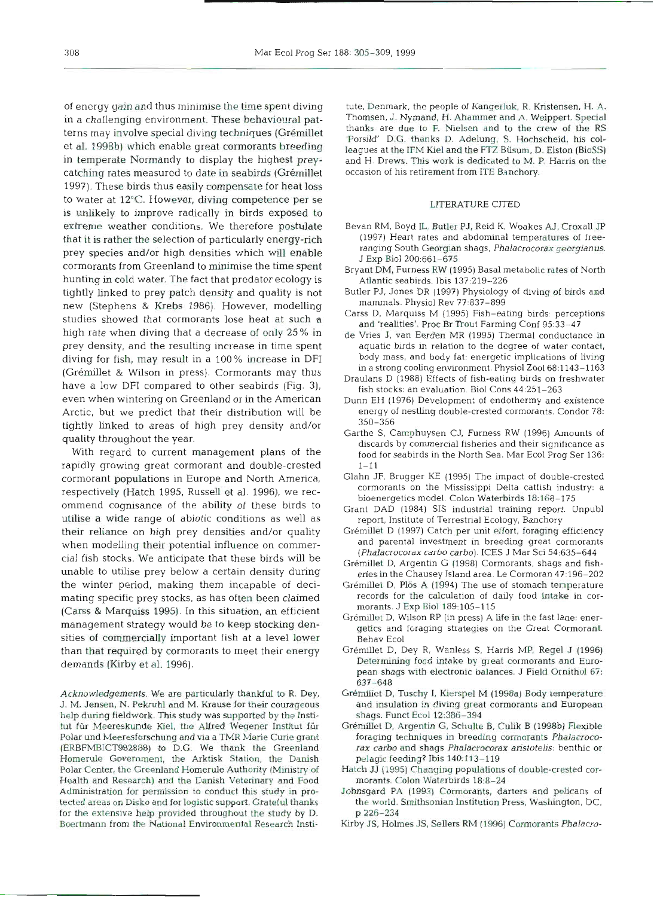catching rates measured to date in seabirds (Grémillet occasion of his retirement from ITE Banchory. 1997). These birds thus easily compensate for heat loss to water at 12°C. IIowever, **diving** competence per se LITERATURE CITED is unlikely to improve radically in birds exposed to extreme weather conditions. We therefore postulate Bevan RM, Boyd IL, Butler PJ, Reid K, Woakes **AJ,** Croxall *JP*  that it is rather the selection of particularly energy-rich (1997) Heart rates and abdominal temperatures of free-<br>narry energies and/or high densities which will enable ranging South Georgian shags, Phalacrocorax georgian prey species and/or high densities which will enable<br>cormorants from Greenland to minimise the time spent<br>hunting in cold water. The fact that predator ecology is<br>hunting in cold water. The fact that predator ecology is<br>At tightly linked to prey patch density and quality is not Butler PJ, Jones DR (1997) Physiology of diving of birds and<br>now (Stephens & Krebs, 1986). However, modelling mammals. Physiol Rev 77:837-899 new (Stephens & Krebs 1986). However, modelling mammais. Physiol Rev 77:837-899<br>studies showed that cormorants lose heat at such a<br>high rate when diving that a decrease of only 25% in de Vries J, van Eerden MR (1995) Therm prey density, and the resulting increase in time spent aquatic birds in relation to the degree of water contact,<br>diving for fish may result in a 100% increase in DFI body mass, and body fat: energetic implications of livin diving for fish, may result in a 100% increase in DFI body mass, and body fat: energetic implications of living<br>
(Grémillet & Wilson in press). Cormorants may thus<br>
have a low DFI compared to other seabirds (Fig. 3), Draul even when wintering on Greenland or in the American Dunn EH (1976) Development of endothermy and existence Arctic, but we predict that their distribution will be energy of nestling double-crested cormorants. Condor 78:<br>  $350-356$ 

rapidly growing great cormorant and double-crested  $1-11$ <br>cormorant nopulations in Europe and North America. Glahn JF, Brugger KE (1995) The impact of double-crested cormorant populations in Europe and North America, Glahn JF, Brugger KE (1995) The impact of double-crested respectively (Hatch 1995, Russell et al. 1996), we rec-<br>Intervention of the model. Color Waterbirds 183168-175<br>Grant DAD (1984) SIS industrial training report. L utilise a wide range of abiotic conditions as well as report, Institute of Terrestrial Ecology, Banchory their reliance on high prey densities and/or quality Grémillet D (1997) Catch per unit effort, foraging efficiency<br>urban modelling their potential influence on commer- and parental investment in breeding great cormorants when modelling their potential influence on commer-<br>cial fish stocks. We anticipate that these birds will be<br>unable to utilise prey below a certain density during<br>the winter period, making them incapable of deci-<br>of Grémil the winter period, making them incapable of deci-<br>mating specific previsions as has often been claimed as records for the calculation of daily food intake in cor mating specific prey stocks, as has often been claimed records for the calculation of d<br>Caree & Marquies 1995, In this situation, an efficient morants J Exp Biol 189:105–115 Carss & Marquiss 1995). In this situation, an efficient<br>management strategy would be to keep stocking den-<br>getics and foraging strategies on the Great Cormorant. sities of commercially important fish at a level lower Behav Ecol than that required by cormorants to meet their energy demands (Kirby et **al.** 1996).

Acknowledgements. We are particularly thankful to R. Dey, J. M. Jensen, N. Pekruhl and M. Krause for their courageous help during fieldwork. **This** study was supported by the Institut **fiir** Meereskunde Kiel, **the** Alfred Wegener Institut fiir Polar und Meeresforschung and via a TMR Marie Curie grant (ERBFMBICT982888) to D.G. We thank the Greenland Homerule Government, the Arktisk Station, the Danish Polar Center, the Greenland Homerule Authority (Ministry of Health and Research) and **the** Danish Veterinary and Food Administration for permission to conduct this study in protected areas on Disko and for logislic support. Grateful **thanks**  for the extensive help provided throughout **the** study by D. Boertmann from the National Environmental Research lnsti-

of energy gain and thus minimise the time spent diving tute, Denmark, the people of Kangerluk, R. Kristensen, H. A.<br>In a challenging environment. These behavioural pat. Thomsen, J. Nymand, H. Ahammer and A. Weippert. Speci in a challenging environment. These behavioural pat-<br>torns may involve special diving tophniques (Crémillet thanks, are due to F. Nielsen and to the crew of the RS terns may involve special diving techniques (Grémillet thanks are due to F. Nielsen and to the crew of the RS<br>example of the collection of the collection of the Crew of the RS in Adelung, S. Hochscheid, his col-<br>example at leagues at the IFM Kiel and the FTZ Büsum, D. Elston (BioSS) in temperate Normandy to display the highest prey- and H. Drews. **This** work is dedicated to M. P. Harris on the

- 
- 
- 
- 
- 
- 
- 
- tightly linked to areas of high prey density and/or<br>quality throughout the year.<br>With regard to current management plans of the discards by commercial fisheries and their significance as<br>food for seabirds in the North Sea.
	-
	- Grant DAD (1984) SIS industrial training report. Unpubl
	-
	-
	-
	-
	-
	-
	- Grémillet D, Dey R, Wanless S, Harris MP, Regel J (1996)<br>
	Determining food intake by great cormorants and Euro-<br>
	pean shags with electronic balances. J Field Crimithol 67:<br>
	637–648<br>
	Grémillet D, Tuschy I, Kierspel M (1998
	-
	- Hatch JJ (1995) Changing populations of double-crested commonants. Colon Waterburds 18:8-24<br>Johnsgard PA (1993). Cormonants, darters and pelicans of<br>the world. Smithsonian Institution Press, Washington, DC,<br>p 226-234<br>Kirby
	-